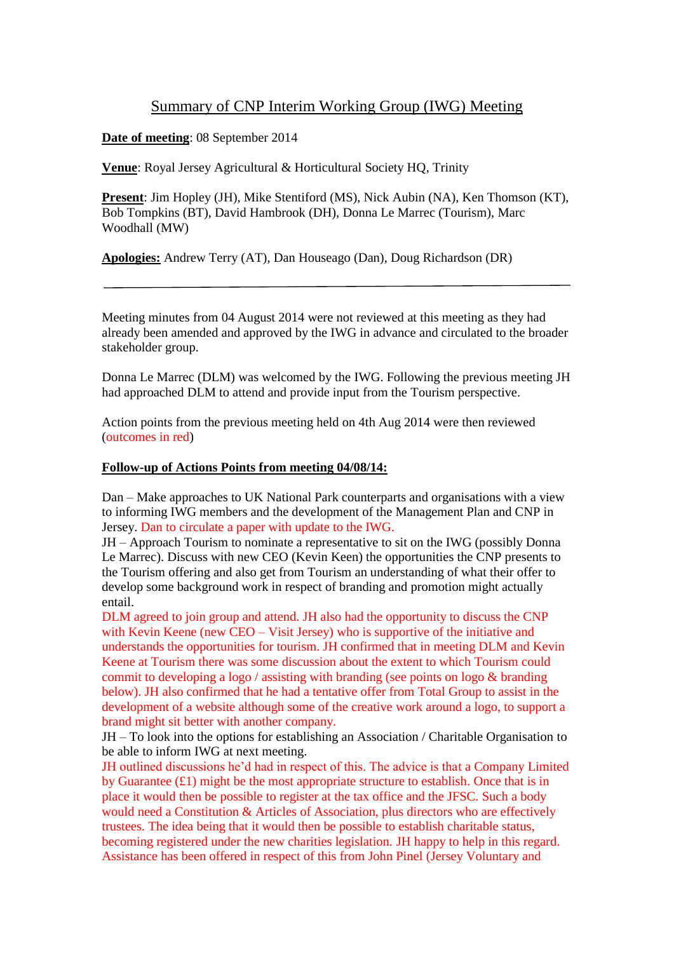## Summary of CNP Interim Working Group (IWG) Meeting

**Date of meeting**: 08 September 2014

**Venue**: Royal Jersey Agricultural & Horticultural Society HQ, Trinity

**Present**: Jim Hopley (JH), Mike Stentiford (MS), Nick Aubin (NA), Ken Thomson (KT), Bob Tompkins (BT), David Hambrook (DH), Donna Le Marrec (Tourism), Marc Woodhall (MW)

**Apologies:** Andrew Terry (AT), Dan Houseago (Dan), Doug Richardson (DR)

Meeting minutes from 04 August 2014 were not reviewed at this meeting as they had already been amended and approved by the IWG in advance and circulated to the broader stakeholder group.

Donna Le Marrec (DLM) was welcomed by the IWG. Following the previous meeting JH had approached DLM to attend and provide input from the Tourism perspective.

Action points from the previous meeting held on 4th Aug 2014 were then reviewed (outcomes in red)

## **Follow-up of Actions Points from meeting 04/08/14:**

Dan – Make approaches to UK National Park counterparts and organisations with a view to informing IWG members and the development of the Management Plan and CNP in Jersey. Dan to circulate a paper with update to the IWG.

JH – Approach Tourism to nominate a representative to sit on the IWG (possibly Donna Le Marrec). Discuss with new CEO (Kevin Keen) the opportunities the CNP presents to the Tourism offering and also get from Tourism an understanding of what their offer to develop some background work in respect of branding and promotion might actually entail.

DLM agreed to join group and attend. JH also had the opportunity to discuss the CNP with Kevin Keene (new CEO – Visit Jersey) who is supportive of the initiative and understands the opportunities for tourism. JH confirmed that in meeting DLM and Kevin Keene at Tourism there was some discussion about the extent to which Tourism could commit to developing a logo / assisting with branding (see points on logo & branding below). JH also confirmed that he had a tentative offer from Total Group to assist in the development of a website although some of the creative work around a logo, to support a brand might sit better with another company.

JH – To look into the options for establishing an Association / Charitable Organisation to be able to inform IWG at next meeting.

JH outlined discussions he'd had in respect of this. The advice is that a Company Limited by Guarantee  $(f1)$  might be the most appropriate structure to establish. Once that is in place it would then be possible to register at the tax office and the JFSC. Such a body would need a Constitution & Articles of Association, plus directors who are effectively trustees. The idea being that it would then be possible to establish charitable status, becoming registered under the new charities legislation. JH happy to help in this regard. Assistance has been offered in respect of this from John Pinel (Jersey Voluntary and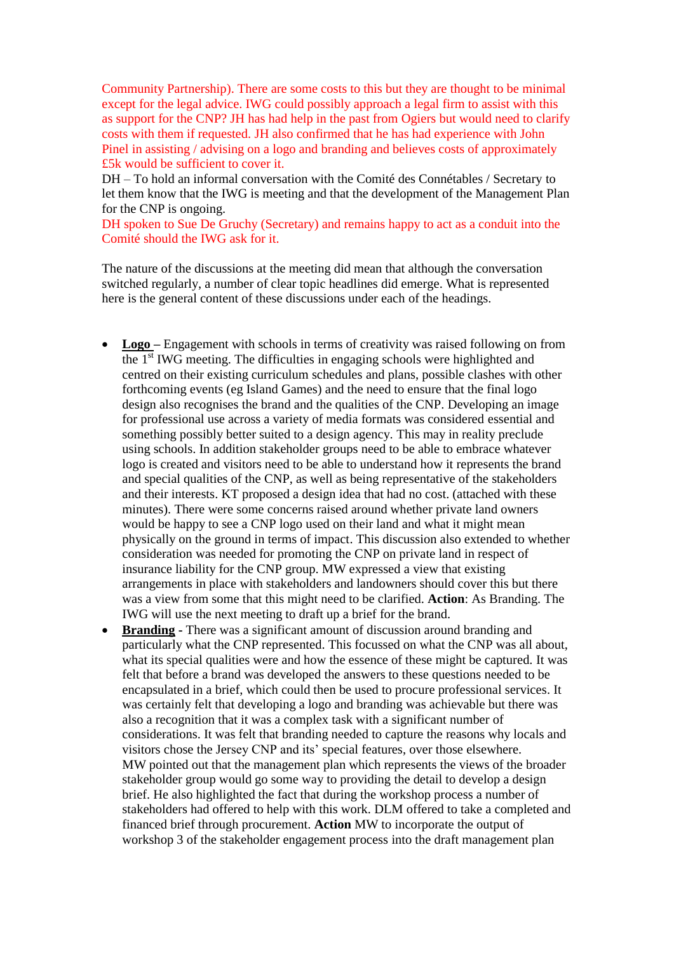Community Partnership). There are some costs to this but they are thought to be minimal except for the legal advice. IWG could possibly approach a legal firm to assist with this as support for the CNP? JH has had help in the past from Ogiers but would need to clarify costs with them if requested. JH also confirmed that he has had experience with John Pinel in assisting / advising on a logo and branding and believes costs of approximately £5k would be sufficient to cover it.

DH – To hold an informal conversation with the Comité des Connétables / Secretary to let them know that the IWG is meeting and that the development of the Management Plan for the CNP is ongoing.

DH spoken to Sue De Gruchy (Secretary) and remains happy to act as a conduit into the Comité should the IWG ask for it.

The nature of the discussions at the meeting did mean that although the conversation switched regularly, a number of clear topic headlines did emerge. What is represented here is the general content of these discussions under each of the headings.

- Logo Engagement with schools in terms of creativity was raised following on from the 1st IWG meeting. The difficulties in engaging schools were highlighted and centred on their existing curriculum schedules and plans, possible clashes with other forthcoming events (eg Island Games) and the need to ensure that the final logo design also recognises the brand and the qualities of the CNP. Developing an image for professional use across a variety of media formats was considered essential and something possibly better suited to a design agency. This may in reality preclude using schools. In addition stakeholder groups need to be able to embrace whatever logo is created and visitors need to be able to understand how it represents the brand and special qualities of the CNP, as well as being representative of the stakeholders and their interests. KT proposed a design idea that had no cost. (attached with these minutes). There were some concerns raised around whether private land owners would be happy to see a CNP logo used on their land and what it might mean physically on the ground in terms of impact. This discussion also extended to whether consideration was needed for promoting the CNP on private land in respect of insurance liability for the CNP group. MW expressed a view that existing arrangements in place with stakeholders and landowners should cover this but there was a view from some that this might need to be clarified. **Action**: As Branding. The IWG will use the next meeting to draft up a brief for the brand.
- **Branding -** There was a significant amount of discussion around branding and particularly what the CNP represented. This focussed on what the CNP was all about, what its special qualities were and how the essence of these might be captured. It was felt that before a brand was developed the answers to these questions needed to be encapsulated in a brief, which could then be used to procure professional services. It was certainly felt that developing a logo and branding was achievable but there was also a recognition that it was a complex task with a significant number of considerations. It was felt that branding needed to capture the reasons why locals and visitors chose the Jersey CNP and its' special features, over those elsewhere. MW pointed out that the management plan which represents the views of the broader stakeholder group would go some way to providing the detail to develop a design brief. He also highlighted the fact that during the workshop process a number of stakeholders had offered to help with this work. DLM offered to take a completed and financed brief through procurement. **Action** MW to incorporate the output of workshop 3 of the stakeholder engagement process into the draft management plan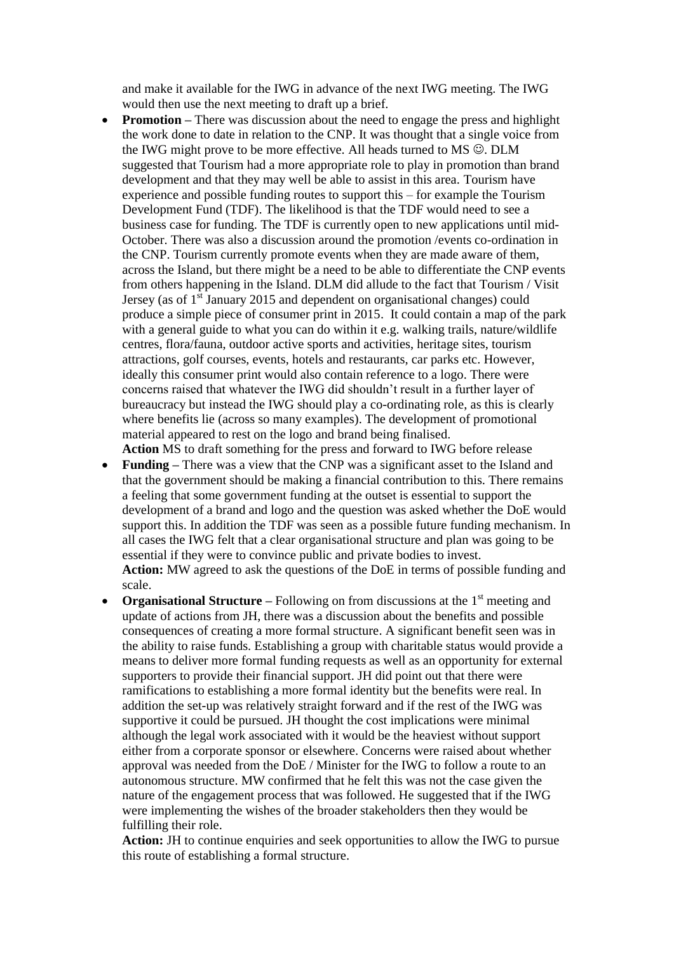and make it available for the IWG in advance of the next IWG meeting. The IWG would then use the next meeting to draft up a brief.

- **Promotion** There was discussion about the need to engage the press and highlight the work done to date in relation to the CNP. It was thought that a single voice from the IWG might prove to be more effective. All heads turned to  $MS \odot$ . DLM suggested that Tourism had a more appropriate role to play in promotion than brand development and that they may well be able to assist in this area. Tourism have experience and possible funding routes to support this – for example the Tourism Development Fund (TDF). The likelihood is that the TDF would need to see a business case for funding. The TDF is currently open to new applications until mid-October. There was also a discussion around the promotion /events co-ordination in the CNP. Tourism currently promote events when they are made aware of them, across the Island, but there might be a need to be able to differentiate the CNP events from others happening in the Island. DLM did allude to the fact that Tourism / Visit Jersey (as of  $1<sup>st</sup>$  January 2015 and dependent on organisational changes) could produce a simple piece of consumer print in 2015. It could contain a map of the park with a general guide to what you can do within it e.g. walking trails, nature/wildlife centres, flora/fauna, outdoor active sports and activities, heritage sites, tourism attractions, golf courses, events, hotels and restaurants, car parks etc. However, ideally this consumer print would also contain reference to a logo. There were concerns raised that whatever the IWG did shouldn't result in a further layer of bureaucracy but instead the IWG should play a co-ordinating role, as this is clearly where benefits lie (across so many examples). The development of promotional material appeared to rest on the logo and brand being finalised. **Action** MS to draft something for the press and forward to IWG before release
- **Funding –** There was a view that the CNP was a significant asset to the Island and that the government should be making a financial contribution to this. There remains a feeling that some government funding at the outset is essential to support the development of a brand and logo and the question was asked whether the DoE would support this. In addition the TDF was seen as a possible future funding mechanism. In all cases the IWG felt that a clear organisational structure and plan was going to be essential if they were to convince public and private bodies to invest. **Action:** MW agreed to ask the questions of the DoE in terms of possible funding and scale.
- **Organisational Structure** Following on from discussions at the 1<sup>st</sup> meeting and update of actions from JH, there was a discussion about the benefits and possible consequences of creating a more formal structure. A significant benefit seen was in the ability to raise funds. Establishing a group with charitable status would provide a means to deliver more formal funding requests as well as an opportunity for external supporters to provide their financial support. JH did point out that there were ramifications to establishing a more formal identity but the benefits were real. In addition the set-up was relatively straight forward and if the rest of the IWG was supportive it could be pursued. JH thought the cost implications were minimal although the legal work associated with it would be the heaviest without support either from a corporate sponsor or elsewhere. Concerns were raised about whether approval was needed from the DoE / Minister for the IWG to follow a route to an autonomous structure. MW confirmed that he felt this was not the case given the nature of the engagement process that was followed. He suggested that if the IWG were implementing the wishes of the broader stakeholders then they would be fulfilling their role.

**Action:** JH to continue enquiries and seek opportunities to allow the IWG to pursue this route of establishing a formal structure.